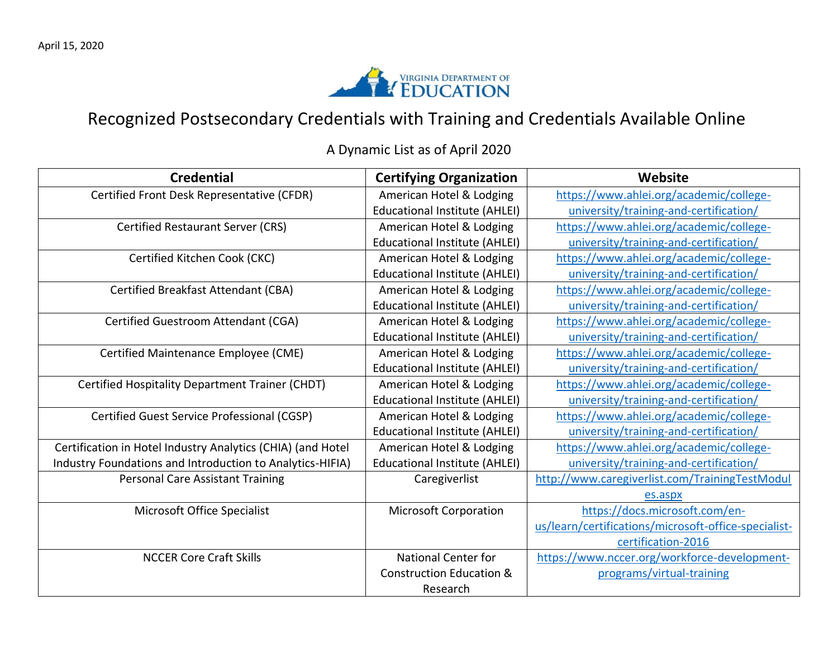

## Recognized Postsecondary Credentials with Training and Credentials Available Online

A Dynamic List as of April 2020

| <b>Credential</b>                                           | <b>Certifying Organization</b>       | Website                                              |
|-------------------------------------------------------------|--------------------------------------|------------------------------------------------------|
| Certified Front Desk Representative (CFDR)                  | American Hotel & Lodging             | https://www.ahlei.org/academic/college-              |
|                                                             | <b>Educational Institute (AHLEI)</b> | university/training-and-certification/               |
| <b>Certified Restaurant Server (CRS)</b>                    | American Hotel & Lodging             | https://www.ahlei.org/academic/college-              |
|                                                             | <b>Educational Institute (AHLEI)</b> | university/training-and-certification/               |
| Certified Kitchen Cook (CKC)                                | American Hotel & Lodging             | https://www.ahlei.org/academic/college-              |
|                                                             | <b>Educational Institute (AHLEI)</b> | university/training-and-certification/               |
| <b>Certified Breakfast Attendant (CBA)</b>                  | American Hotel & Lodging             | https://www.ahlei.org/academic/college-              |
|                                                             | Educational Institute (AHLEI)        | university/training-and-certification/               |
| Certified Guestroom Attendant (CGA)                         | American Hotel & Lodging             | https://www.ahlei.org/academic/college-              |
|                                                             | <b>Educational Institute (AHLEI)</b> | university/training-and-certification/               |
| Certified Maintenance Employee (CME)                        | American Hotel & Lodging             | https://www.ahlei.org/academic/college-              |
|                                                             | <b>Educational Institute (AHLEI)</b> | university/training-and-certification/               |
| Certified Hospitality Department Trainer (CHDT)             | American Hotel & Lodging             | https://www.ahlei.org/academic/college-              |
|                                                             | <b>Educational Institute (AHLEI)</b> | university/training-and-certification/               |
| Certified Guest Service Professional (CGSP)                 | American Hotel & Lodging             | https://www.ahlei.org/academic/college-              |
|                                                             | <b>Educational Institute (AHLEI)</b> | university/training-and-certification/               |
| Certification in Hotel Industry Analytics (CHIA) (and Hotel | American Hotel & Lodging             | https://www.ahlei.org/academic/college-              |
| Industry Foundations and Introduction to Analytics-HIFIA)   | <b>Educational Institute (AHLEI)</b> | university/training-and-certification/               |
| <b>Personal Care Assistant Training</b>                     | Caregiverlist                        | http://www.caregiverlist.com/TrainingTestModul       |
|                                                             |                                      | es.aspx                                              |
| Microsoft Office Specialist                                 | <b>Microsoft Corporation</b>         | https://docs.microsoft.com/en-                       |
|                                                             |                                      | us/learn/certifications/microsoft-office-specialist- |
|                                                             |                                      | certification-2016                                   |
| <b>NCCER Core Craft Skills</b>                              | <b>National Center for</b>           | https://www.nccer.org/workforce-development-         |
|                                                             | <b>Construction Education &amp;</b>  | programs/virtual-training                            |
|                                                             | Research                             |                                                      |